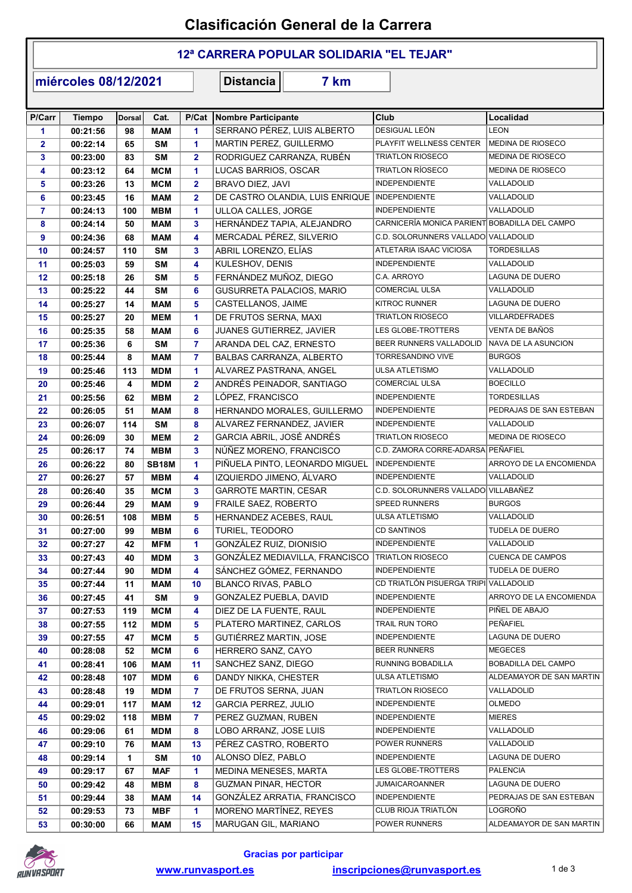## Clasificación General de la Carrera

### 12ª CARRERA POPULAR SOLIDARIA "EL TEJAR"

miércoles 08/12/2021

Distancia 7 km

| P/Carr                  | <b>Tiempo</b> | <b>Dorsal</b> | Cat.         |                | P/Cat Nombre Participante       | Club                                          | Localidad                |
|-------------------------|---------------|---------------|--------------|----------------|---------------------------------|-----------------------------------------------|--------------------------|
| 1                       | 00:21:56      | 98            | <b>MAM</b>   | 1              | SERRANO PÉREZ, LUIS ALBERTO     | DESIGUAL LEÓN                                 | <b>LEON</b>              |
| $\overline{\mathbf{2}}$ | 00:22:14      | 65            | <b>SM</b>    | 1              | MARTIN PEREZ, GUILLERMO         | PLAYFIT WELLNESS CENTER                       | MEDINA DE RIOSECO        |
| 3                       | 00:23:00      | 83            | <b>SM</b>    | $\overline{2}$ | RODRIGUEZ CARRANZA, RUBÉN       | <b>TRIATLON RIOSECO</b>                       | MEDINA DE RIOSECO        |
| 4                       | 00:23:12      | 64            | <b>MCM</b>   | 1.             | LUCAS BARRIOS, OSCAR            | <b>TRIATLON RÍOSECO</b>                       | MEDINA DE RIOSECO        |
| 5                       | 00:23:26      | 13            | <b>MCM</b>   | 2              | BRAVO DIEZ, JAVI                | <b>INDEPENDIENTE</b>                          | VALLADOLID               |
| 6                       | 00:23:45      | 16            | <b>MAM</b>   | $\overline{2}$ | DE CASTRO OLANDIA, LUIS ENRIQUE | <b>INDEPENDIENTE</b>                          | VALLADOLID               |
| $\overline{7}$          | 00:24:13      | 100           | <b>MBM</b>   | 1              | ULLOA CALLES, JORGE             | <b>INDEPENDIENTE</b>                          | VALLADOLID               |
| 8                       | 00:24:14      | 50            | <b>MAM</b>   | 3              | HERNÁNDEZ TAPIA, ALEJANDRO      | CARNICERÍA MONICA PARIENT BOBADILLA DEL CAMPO |                          |
| 9                       | 00:24:36      | 68            | <b>MAM</b>   | 4              | MERCADAL PÉREZ, SILVERIO        | C.D. SOLORUNNERS VALLADO VALLADOLID           |                          |
| 10                      | 00:24:57      | 110           | <b>SM</b>    | 3              | ABRIL LORENZO, ELÍAS            | ATLETARIA ISAAC VICIOSA                       | <b>TORDESILLAS</b>       |
| 11                      | 00:25:03      | 59            | <b>SM</b>    | 4              | KULESHOV, DENIS                 | <b>INDEPENDIENTE</b>                          | VALLADOLID               |
| 12                      | 00:25:18      | 26            | <b>SM</b>    | 5              | FERNÁNDEZ MUÑOZ, DIEGO          | C.A. ARROYO                                   | LAGUNA DE DUERO          |
| 13                      | 00:25:22      | 44            | <b>SM</b>    | 6              | GUSURRETA PALACIOS, MARIO       | <b>COMERCIAL ULSA</b>                         | VALLADOLID               |
| 14                      | 00:25:27      | 14            | <b>MAM</b>   | 5              | CASTELLANOS, JAIME              | <b>KITROC RUNNER</b>                          | LAGUNA DE DUERO          |
| 15                      | 00:25:27      | 20            | <b>MEM</b>   | 1              | DE FRUTOS SERNA, MAXI           | <b>TRIATLON RIOSECO</b>                       | VILLARDEFRADES           |
| 16                      | 00:25:35      | 58            | <b>MAM</b>   | 6              | JUANES GUTIERREZ, JAVIER        | LES GLOBE-TROTTERS                            | VENTA DE BAÑOS           |
| 17                      | 00:25:36      | 6             | <b>SM</b>    | $\overline{7}$ | ARANDA DEL CAZ, ERNESTO         | BEER RUNNERS VALLADOLID                       | NAVA DE LA ASUNCION      |
| 18                      | 00:25:44      | 8             | <b>MAM</b>   | 7              | BALBAS CARRANZA, ALBERTO        | TORRESANDINO VIVE                             | <b>BURGOS</b>            |
| 19                      | 00:25:46      | 113           | <b>MDM</b>   | 1              | ALVAREZ PASTRANA, ANGEL         | <b>ULSA ATLETISMO</b>                         | VALLADOLID               |
| 20                      | 00:25:46      | 4             | <b>MDM</b>   | $\overline{2}$ | ANDRÉS PEINADOR, SANTIAGO       | <b>COMERCIAL ULSA</b>                         | <b>BOECILLO</b>          |
| 21                      | 00:25:56      | 62            | <b>MBM</b>   | $\overline{2}$ | LÓPEZ, FRANCISCO                | <b>INDEPENDIENTE</b>                          | <b>TORDESILLAS</b>       |
| 22                      | 00:26:05      | 51            | <b>MAM</b>   | 8              | HERNANDO MORALES, GUILLERMO     | <b>INDEPENDIENTE</b>                          | PEDRAJAS DE SAN ESTEBAN  |
| 23                      | 00:26:07      | 114           | <b>SM</b>    | 8              | ALVAREZ FERNANDEZ, JAVIER       | <b>INDEPENDIENTE</b>                          | VALLADOLID               |
| 24                      | 00:26:09      | 30            | <b>MEM</b>   | $\overline{2}$ | GARCIA ABRIL, JOSÉ ANDRÉS       | <b>TRIATLON RIOSECO</b>                       | MEDINA DE RIOSECO        |
| 25                      | 00:26:17      | 74            | <b>MBM</b>   | 3              | NÚÑEZ MORENO, FRANCISCO         | C.D. ZAMORA CORRE-ADARSA PEÑAFIEL             |                          |
| 26                      | 00:26:22      | 80            | <b>SB18M</b> | 1              | PIÑUELA PINTO, LEONARDO MIGUEL  | <b>INDEPENDIENTE</b>                          | ARROYO DE LA ENCOMIENDA  |
| 27                      | 00:26:27      | 57            | <b>MBM</b>   | 4              | IZQUIERDO JIMENO, ÁLVARO        | <b>INDEPENDIENTE</b>                          | VALLADOLID               |
| 28                      | 00:26:40      | 35            | <b>MCM</b>   | 3              | <b>GARROTE MARTIN, CESAR</b>    | C.D. SOLORUNNERS VALLADO VILLABAÑEZ           |                          |
| 29                      | 00:26:44      | 29            | <b>MAM</b>   | 9              | FRAILE SAEZ, ROBERTO            | <b>SPEED RUNNERS</b>                          | <b>BURGOS</b>            |
| 30                      | 00:26:51      | 108           | <b>MBM</b>   | 5              | HERNANDEZ ACEBES, RAUL          | ULSA ATLETISMO                                | VALLADOLID               |
| 31                      | 00:27:00      | 99            | <b>MBM</b>   | 6              | TURIEL, TEODORO                 | <b>CD SANTINOS</b>                            | <b>TUDELA DE DUERO</b>   |
| 32                      | 00:27:27      | 42            | <b>MFM</b>   | 1              | GONZÁLEZ RUIZ, DIONISIO         | <b>INDEPENDIENTE</b>                          | VALLADOLID               |
| 33                      | 00:27:43      | 40            | <b>MDM</b>   | 3              | GONZÁLEZ MEDIAVILLA, FRANCISCO  | <b>TRIATLON RIOSECO</b>                       | <b>CUENCA DE CAMPOS</b>  |
| 34                      | 00:27:44      | 90            | <b>MDM</b>   | 4              | SÁNCHEZ GÓMEZ, FERNANDO         | <b>INDEPENDIENTE</b>                          | TUDELA DE DUERO          |
| 35                      | 00:27:44      | 11            | <b>MAM</b>   | 10             | <b>BLANCO RIVAS, PABLO</b>      | CD TRIATLÓN PISUERGA TRIPI VALLADOLID         |                          |
| 36                      | 00:27:45      | 41            | <b>SM</b>    | 9              | GONZALEZ PUEBLA, DAVID          | <b>INDEPENDIENTE</b>                          | ARROYO DE LA ENCOMIENDA  |
| 37                      | 00:27:53      | 119           | <b>MCM</b>   | 4              | DIEZ DE LA FUENTE, RAUL         | <b>INDEPENDIENTE</b>                          | PIÑEL DE ABAJO           |
| 38                      | 00:27:55      | 112           | <b>MDM</b>   | 5.             | PLATERO MARTINEZ, CARLOS        | TRAIL RUN TORO                                | PEÑAFIEL                 |
| 39                      | 00:27:55      | 47            | <b>MCM</b>   | 5              | GUTIÉRREZ MARTIN, JOSE          | <b>INDEPENDIENTE</b>                          | LAGUNA DE DUERO          |
| 40                      | 00:28:08      | 52            | <b>MCM</b>   | 6              | HERRERO SANZ, CAYO              | <b>BEER RUNNERS</b>                           | <b>MEGECES</b>           |
| 41                      | 00:28:41      | 106           | <b>MAM</b>   | 11             | SANCHEZ SANZ, DIEGO             | RUNNING BOBADILLA                             | BOBADILLA DEL CAMPO      |
| 42                      | 00:28:48      | 107           | <b>MDM</b>   | 6              | DANDY NIKKA, CHESTER            | ULSA ATLETISMO                                | ALDEAMAYOR DE SAN MARTIN |
| 43                      | 00:28:48      | 19            | <b>MDM</b>   | 7.             | DE FRUTOS SERNA, JUAN           | <b>TRIATLON RIOSECO</b>                       | VALLADOLID               |
| 44                      | 00:29:01      | 117           | <b>MAM</b>   | 12             | <b>GARCIA PERREZ, JULIO</b>     | <b>INDEPENDIENTE</b>                          | <b>OLMEDO</b>            |
| 45                      | 00:29:02      | 118           | <b>MBM</b>   | 7.             | PEREZ GUZMAN, RUBEN             | <b>INDEPENDIENTE</b>                          | <b>MIERES</b>            |
| 46                      | 00:29:06      | 61            | MDM          | 8              | LOBO ARRANZ, JOSE LUIS          | <b>INDEPENDIENTE</b>                          | VALLADOLID               |
| 47                      | 00:29:10      | 76            | <b>MAM</b>   | 13             | PÉREZ CASTRO, ROBERTO           | POWER RUNNERS                                 | VALLADOLID               |
| 48                      | 00:29:14      | 1             | <b>SM</b>    | 10             | ALONSO DÍEZ, PABLO              | INDEPENDIENTE                                 | LAGUNA DE DUERO          |
| 49                      | 00:29:17      | 67            | <b>MAF</b>   | 1              | MEDINA MENESES, MARTA           | LES GLOBE-TROTTERS                            | <b>PALENCIA</b>          |
| 50                      | 00:29:42      | 48            | MBM          | 8              | <b>GUZMAN PINAR, HECTOR</b>     | <b>JUMAICAROANNER</b>                         | LAGUNA DE DUERO          |
| 51                      | 00:29:44      | 38            | <b>MAM</b>   | 14             | GONZÁLEZ ARRATIA, FRANCISCO     | <b>INDEPENDIENTE</b>                          | PEDRAJAS DE SAN ESTEBAN  |
| 52                      | 00:29:53      | 73            | <b>MBF</b>   | 1.             | MORENO MARTÍNEZ, REYES          | CLUB RIOJA TRIATLÓN                           | LOGROÑO                  |
| 53                      | 00:30:00      | 66            | <b>MAM</b>   | 15             | MARUGAN GIL, MARIANO            | POWER RUNNERS                                 | ALDEAMAYOR DE SAN MARTIN |

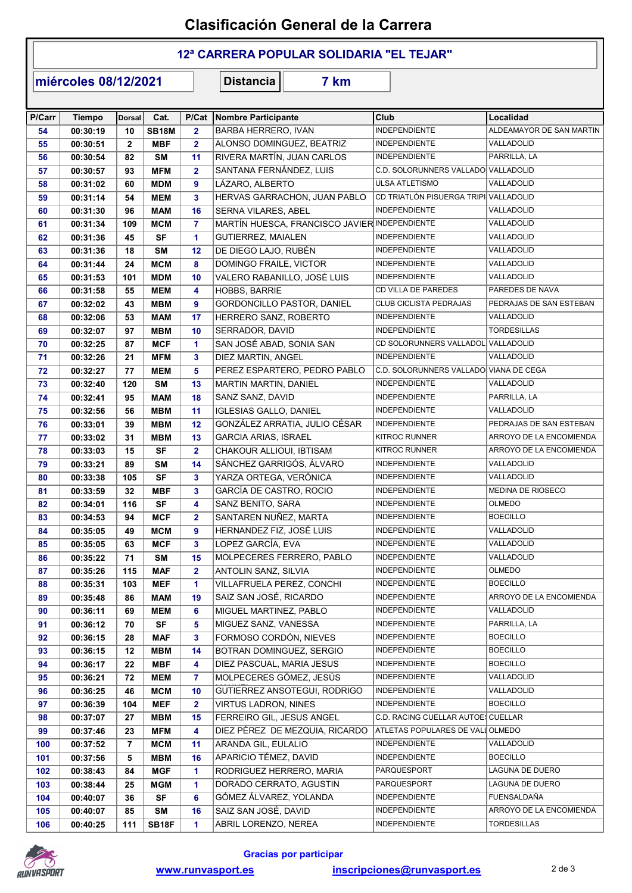## Clasificación General de la Carrera

### 12ª CARRERA POPULAR SOLIDARIA "EL TEJAR"

miércoles 08/12/2021

Distancia 7 km

| P/Carr | <b>Tiempo</b> | <b>Dorsal</b> | Cat.               | P/Cat          | Nombre Participante                           | Club                                   | Localidad                |
|--------|---------------|---------------|--------------------|----------------|-----------------------------------------------|----------------------------------------|--------------------------|
| 54     | 00:30:19      | 10            | <b>SB18M</b>       | $\mathbf{2}$   | BARBA HERRERO, IVAN                           | <b>INDEPENDIENTE</b>                   | ALDEAMAYOR DE SAN MARTIN |
| 55     | 00:30:51      | $\mathbf{2}$  | <b>MBF</b>         | $\mathbf{2}$   | ALONSO DOMINGUEZ, BEATRIZ                     | <b>INDEPENDIENTE</b>                   | VALLADOLID               |
| 56     | 00:30:54      | 82            | <b>SM</b>          | 11             | RIVERA MARTÍN, JUAN CARLOS                    | INDEPENDIENTE                          | PARRILLA, LA             |
| 57     | 00:30:57      | 93            | <b>MFM</b>         | $\overline{2}$ | SANTANA FERNÁNDEZ, LUIS                       | C.D. SOLORUNNERS VALLADO VALLADOLID    |                          |
| 58     | 00:31:02      | 60            | <b>MDM</b>         | 9              | LÁZARO, ALBERTO                               | <b>ULSA ATLETISMO</b>                  | VALLADOLID               |
| 59     | 00:31:14      | 54            | <b>MEM</b>         | 3              | HERVAS GARRACHON, JUAN PABLO                  | CD TRIATLÓN PISUERGA TRIPI VALLADOLID  |                          |
| 60     | 00:31:30      | 96            | <b>MAM</b>         | 16             | SERNA VILARES, ABEL                           | <b>INDEPENDIENTE</b>                   | VALLADOLID               |
| 61     | 00:31:34      | 109           | <b>MCM</b>         | $\mathbf{7}$   | MARTÍN HUESCA, FRANCISCO JAVIER INDEPENDIENTE |                                        | VALLADOLID               |
| 62     | 00:31:36      | 45            | <b>SF</b>          | 1              | <b>GUTIERREZ, MAIALEN</b>                     | <b>INDEPENDIENTE</b>                   | VALLADOLID               |
| 63     | 00:31:36      | 18            | <b>SM</b>          | 12             | DE DIEGO LAJO, RUBÉN                          | INDEPENDIENTE                          | VALLADOLID               |
| 64     | 00:31:44      | 24            | <b>MCM</b>         | 8              | DOMINGO FRAILE, VICTOR                        | <b>INDEPENDIENTE</b>                   | VALLADOLID               |
| 65     | 00:31:53      | 101           | <b>MDM</b>         | 10             | VALERO RABANILLO, JOSÉ LUIS                   | <b>INDEPENDIENTE</b>                   | VALLADOLID               |
| 66     | 00:31:58      | 55            | <b>MEM</b>         | 4              | <b>HOBBS, BARRIE</b>                          | CD VILLA DE PAREDES                    | PAREDES DE NAVA          |
| 67     | 00:32:02      | 43            | <b>MBM</b>         | 9              | GORDONCILLO PASTOR, DANIEL                    | CLUB CICLISTA PEDRAJAS                 | PEDRAJAS DE SAN ESTEBAN  |
| 68     | 00:32:06      | 53            | <b>MAM</b>         | 17             | HERRERO SANZ, ROBERTO                         | INDEPENDIENTE                          | VALLADOLID               |
| 69     | 00:32:07      | 97            | <b>MBM</b>         | 10             | SERRADOR, DAVID                               | INDEPENDIENTE                          | <b>TORDESILLAS</b>       |
| 70     | 00:32:25      | 87            | <b>MCF</b>         | 1              | SAN JOSÉ ABAD, SONIA SAN                      | CD SOLORUNNERS VALLADOL VALLADOLID     |                          |
| 71     | 00:32:26      | 21            | <b>MFM</b>         | 3              | DIEZ MARTIN, ANGEL                            | <b>INDEPENDIENTE</b>                   | VALLADOLID               |
| 72     | 00:32:27      | 77            | <b>MEM</b>         | 5              | PEREZ ESPARTERO, PEDRO PABLO                  | C.D. SOLORUNNERS VALLADO VIANA DE CEGA |                          |
| 73     | 00:32:40      | 120           | <b>SM</b>          | 13             | MARTIN MARTIN, DANIEL                         | <b>INDEPENDIENTE</b>                   | VALLADOLID               |
| 74     | 00:32:41      | 95            | <b>MAM</b>         | 18             | SANZ SANZ, DAVID                              | INDEPENDIENTE                          | PARRILLA, LA             |
| 75     | 00:32:56      | 56            | <b>MBM</b>         | 11             | <b>IGLESIAS GALLO, DANIEL</b>                 | <b>INDEPENDIENTE</b>                   | VALLADOLID               |
| 76     | 00:33:01      | 39            | <b>MBM</b>         | 12             | GONZÁLEZ ARRATIA, JULIO CÉSAR                 | INDEPENDIENTE                          | PEDRAJAS DE SAN ESTEBAN  |
| 77     | 00:33:02      | 31            | <b>MBM</b>         | 13             | <b>GARCIA ARIAS, ISRAEL</b>                   | KITROC RUNNER                          | ARROYO DE LA ENCOMIENDA  |
| 78     | 00:33:03      | 15            | <b>SF</b>          | $\mathbf{2}$   | CHAKOUR ALLIOUI, IBTISAM                      | KITROC RUNNER                          | ARROYO DE LA ENCOMIENDA  |
| 79     | 00:33:21      | 89            | <b>SM</b>          | 14             | SÁNCHEZ GARRIGÓS, ÁLVARO                      | INDEPENDIENTE                          | VALLADOLID               |
| 80     | 00:33:38      | 105           | <b>SF</b>          | 3              | YARZA ORTEGA, VERÓNICA                        | INDEPENDIENTE                          | VALLADOLID               |
| 81     | 00:33:59      | 32            | <b>MBF</b>         | 3              | GARCÍA DE CASTRO, ROCIO                       | INDEPENDIENTE                          | MEDINA DE RIOSECO        |
| 82     | 00:34:01      | 116           | <b>SF</b>          | 4              | SANZ BENITO, SARA                             | INDEPENDIENTE                          | <b>OLMEDO</b>            |
| 83     | 00:34:53      | 94            | <b>MCF</b>         | $\mathbf{2}$   | SANTAREN NUÑEZ, MARTA                         | <b>INDEPENDIENTE</b>                   | <b>BOECILLO</b>          |
| 84     | 00:35:05      | 49            | <b>MCM</b>         | 9              | HERNANDEZ FIZ, JOSÉ LUIS                      | INDEPENDIENTE                          | VALLADOLID               |
| 85     | 00:35:05      | 63            | <b>MCF</b>         | 3              | LOPEZ GARCÍA, EVA                             | INDEPENDIENTE                          | VALLADOLID               |
| 86     | 00:35:22      | 71            | <b>SM</b>          | 15             | MOLPECERES FERRERO, PABLO                     | <b>INDEPENDIENTE</b>                   | VALLADOLID               |
| 87     | 00:35:26      | 115           | <b>MAF</b>         | $\overline{2}$ | ANTOLIN SANZ, SILVIA                          | INDEPENDIENTE                          | <b>OLMEDO</b>            |
| 88     | 00:35:31      | 103           | <b>MEF</b>         | 1.             | VILLAFRUELA PEREZ, CONCHI                     | <b>INDEPENDIENTE</b>                   | <b>BOECILLO</b>          |
| 89     | 00:35:48      | 86            | <b>MAM</b>         | 19             | SAIZ SAN JOSÉ, RICARDO                        | INDEPENDIENTE                          | ARROYO DE LA ENCOMIENDA  |
| 90     | 00:36:11      | 69            | <b>MEM</b>         | 6              | MIGUEL MARTINEZ, PABLO                        | <b>INDEPENDIENTE</b>                   | VALLADOLID               |
| 91     | 00:36:12      | 70            | <b>SF</b>          | 5              | MIGUEZ SANZ, VANESSA                          | INDEPENDIENTE                          | PARRILLA, LA             |
| 92     | 00:36:15      | 28            | <b>MAF</b>         | 3              | FORMOSO CORDÓN, NIEVES                        | <b>INDEPENDIENTE</b>                   | <b>BOECILLO</b>          |
| 93     | 00:36:15      | 12            | <b>MBM</b>         | 14             | BOTRAN DOMINGUEZ, SERGIO                      | <b>INDEPENDIENTE</b>                   | <b>BOECILLO</b>          |
| 94     | 00:36:17      | 22            | <b>MBF</b>         | 4              | DIEZ PASCUAL, MARIA JESUS                     | INDEPENDIENTE                          | <b>BOECILLO</b>          |
| 95     | 00:36:21      | 72            | MEM                | 7              | MOLPECERES GÓMEZ, JESÚS                       | INDEPENDIENTE                          | VALLADOLID               |
| 96     | 00:36:25      | 46            | <b>MCM</b>         | 10             | GUTIERREZ ANSOTEGUI, RODRIGO                  | <b>INDEPENDIENTE</b>                   | VALLADOLID               |
| 97     | 00:36:39      | 104           | <b>MEF</b>         | 2              | <b>VIRTUS LADRON, NINES</b>                   | <b>INDEPENDIENTE</b>                   | <b>BOECILLO</b>          |
| 98     | 00:37:07      | 27            | <b>MBM</b>         | 15             | FERREIRO GIL, JESUS ANGEL                     | C.D. RACING CUELLAR AUTOE CUELLAR      |                          |
| 99     | 00:37:46      | 23            | <b>MFM</b>         | 4              | DIEZ PÉREZ DE MEZQUIA, RICARDO                | ATLETAS POPULARES DE VALI OLMEDO       |                          |
| 100    | 00:37:52      | 7             | <b>MCM</b>         | 11             | ARANDA GIL, EULALIO                           | INDEPENDIENTE                          | VALLADOLID               |
| 101    | 00:37:56      | 5             | <b>MBM</b>         | 16             | APARICIO TÉMEZ, DAVID                         | INDEPENDIENTE                          | <b>BOECILLO</b>          |
| 102    | 00:38:43      | 84            | <b>MGF</b>         | 1.             | RODRIGUEZ HERRERO, MARIA                      | PARQUESPORT                            | LAGUNA DE DUERO          |
| 103    | 00:38:44      | 25            | <b>MGM</b>         | 1.             | DORADO CERRATO, AGUSTIN                       | PARQUESPORT                            | LAGUNA DE DUERO          |
| 104    | 00:40:07      | 36            | <b>SF</b>          | 6              | GÓMEZ ÁLVAREZ, YOLANDA                        | INDEPENDIENTE                          | <b>FUENSALDAÑA</b>       |
| 105    | 00:40:07      | 85            | <b>SM</b>          | 16             | SAIZ SAN JOSÉ, DAVID                          | INDEPENDIENTE                          | ARROYO DE LA ENCOMIENDA  |
| 106    | 00:40:25      | 111           | SB <sub>18</sub> F | 1.             | ABRIL LORENZO, NEREA                          | INDEPENDIENTE                          | <b>TORDESILLAS</b>       |